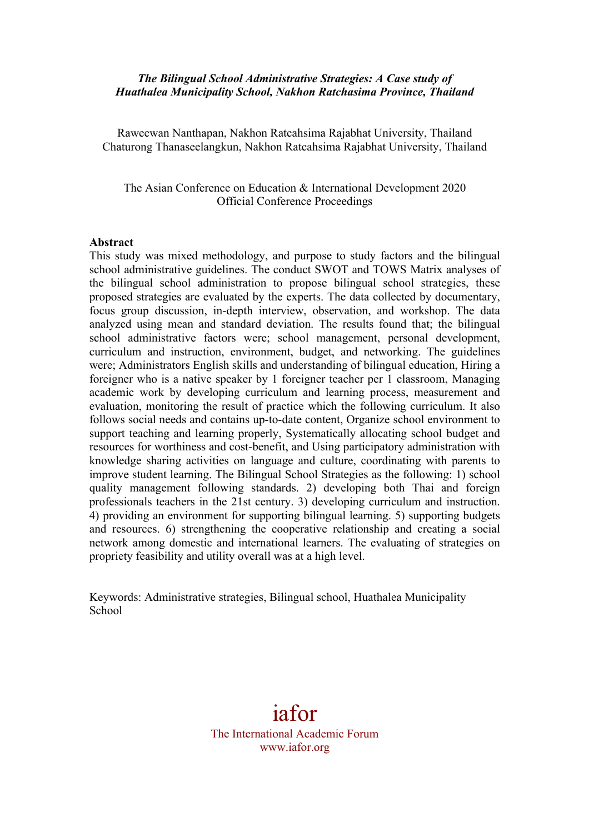## *The Bilingual School Administrative Strategies: A Case study of Huathalea Municipality School, Nakhon Ratchasima Province, Thailand*

Raweewan Nanthapan, Nakhon Ratcahsima Rajabhat University, Thailand Chaturong Thanaseelangkun, Nakhon Ratcahsima Rajabhat University, Thailand

The Asian Conference on Education & International Development 2020 Official Conference Proceedings

#### **Abstract**

This study was mixed methodology, and purpose to study factors and the bilingual school administrative guidelines. The conduct SWOT and TOWS Matrix analyses of the bilingual school administration to propose bilingual school strategies, these proposed strategies are evaluated by the experts. The data collected by documentary, focus group discussion, in-depth interview, observation, and workshop. The data analyzed using mean and standard deviation. The results found that; the bilingual school administrative factors were; school management, personal development, curriculum and instruction, environment, budget, and networking. The guidelines were; Administrators English skills and understanding of bilingual education, Hiring a foreigner who is a native speaker by 1 foreigner teacher per 1 classroom, Managing academic work by developing curriculum and learning process, measurement and evaluation, monitoring the result of practice which the following curriculum. It also follows social needs and contains up-to-date content, Organize school environment to support teaching and learning properly, Systematically allocating school budget and resources for worthiness and cost-benefit, and Using participatory administration with knowledge sharing activities on language and culture, coordinating with parents to improve student learning. The Bilingual School Strategies as the following: 1) school quality management following standards. 2) developing both Thai and foreign professionals teachers in the 21st century. 3) developing curriculum and instruction. 4) providing an environment for supporting bilingual learning. 5) supporting budgets and resources. 6) strengthening the cooperative relationship and creating a social network among domestic and international learners. The evaluating of strategies on propriety feasibility and utility overall was at a high level.

Keywords: Administrative strategies, Bilingual school, Huathalea Municipality School

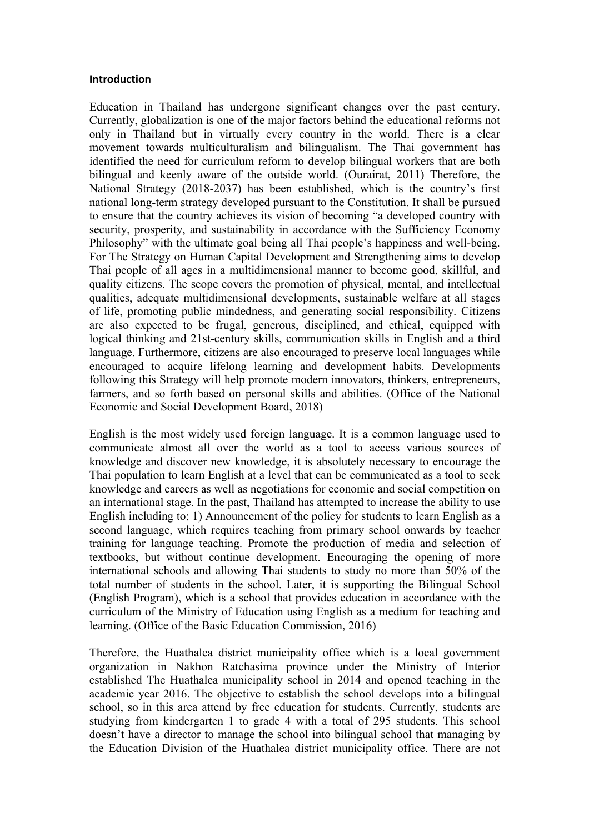#### **Introduction**

Education in Thailand has undergone significant changes over the past century. Currently, globalization is one of the major factors behind the educational reforms not only in Thailand but in virtually every country in the world. There is a clear movement towards multiculturalism and bilingualism. The Thai government has identified the need for curriculum reform to develop bilingual workers that are both bilingual and keenly aware of the outside world. (Ourairat, 2011) Therefore, the National Strategy (2018-2037) has been established, which is the country's first national long-term strategy developed pursuant to the Constitution. It shall be pursued to ensure that the country achieves its vision of becoming "a developed country with security, prosperity, and sustainability in accordance with the Sufficiency Economy Philosophy" with the ultimate goal being all Thai people's happiness and well-being. For The Strategy on Human Capital Development and Strengthening aims to develop Thai people of all ages in a multidimensional manner to become good, skillful, and quality citizens. The scope covers the promotion of physical, mental, and intellectual qualities, adequate multidimensional developments, sustainable welfare at all stages of life, promoting public mindedness, and generating social responsibility. Citizens are also expected to be frugal, generous, disciplined, and ethical, equipped with logical thinking and 21st-century skills, communication skills in English and a third language. Furthermore, citizens are also encouraged to preserve local languages while encouraged to acquire lifelong learning and development habits. Developments following this Strategy will help promote modern innovators, thinkers, entrepreneurs, farmers, and so forth based on personal skills and abilities. (Office of the National Economic and Social Development Board, 2018)

English is the most widely used foreign language. It is a common language used to communicate almost all over the world as a tool to access various sources of knowledge and discover new knowledge, it is absolutely necessary to encourage the Thai population to learn English at a level that can be communicated as a tool to seek knowledge and careers as well as negotiations for economic and social competition on an international stage. In the past, Thailand has attempted to increase the ability to use English including to; 1) Announcement of the policy for students to learn English as a second language, which requires teaching from primary school onwards by teacher training for language teaching. Promote the production of media and selection of textbooks, but without continue development. Encouraging the opening of more international schools and allowing Thai students to study no more than 50% of the total number of students in the school. Later, it is supporting the Bilingual School (English Program), which is a school that provides education in accordance with the curriculum of the Ministry of Education using English as a medium for teaching and learning. (Office of the Basic Education Commission, 2016)

Therefore, the Huathalea district municipality office which is a local government organization in Nakhon Ratchasima province under the Ministry of Interior established The Huathalea municipality school in 2014 and opened teaching in the academic year 2016. The objective to establish the school develops into a bilingual school, so in this area attend by free education for students. Currently, students are studying from kindergarten 1 to grade 4 with a total of 295 students. This school doesn't have a director to manage the school into bilingual school that managing by the Education Division of the Huathalea district municipality office. There are not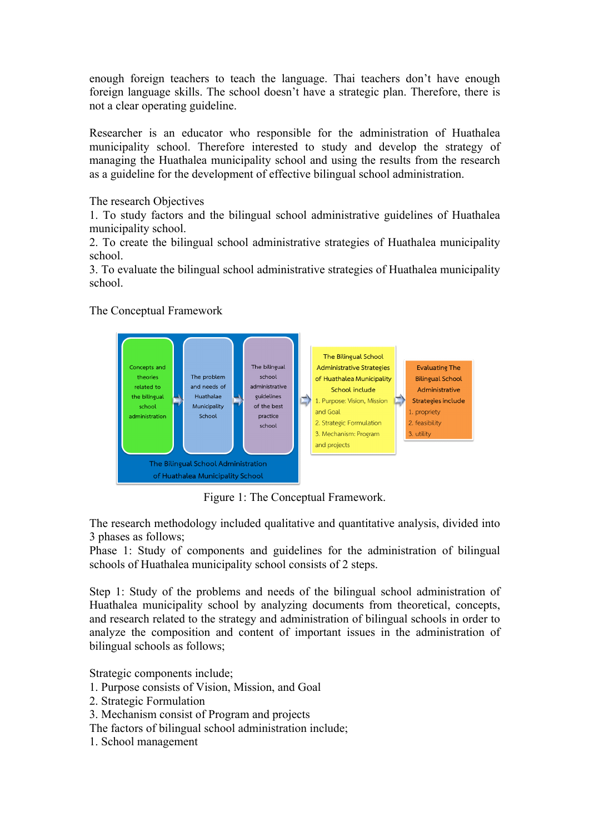enough foreign teachers to teach the language. Thai teachers don't have enough foreign language skills. The school doesn't have a strategic plan. Therefore, there is not a clear operating guideline.

Researcher is an educator who responsible for the administration of Huathalea municipality school. Therefore interested to study and develop the strategy of managing the Huathalea municipality school and using the results from the research as a guideline for the development of effective bilingual school administration.

The research Objectives

1. To study factors and the bilingual school administrative guidelines of Huathalea municipality school.

2. To create the bilingual school administrative strategies of Huathalea municipality school.

3. To evaluate the bilingual school administrative strategies of Huathalea municipality school.

The Conceptual Framework



Figure 1: The Conceptual Framework.

The research methodology included qualitative and quantitative analysis, divided into 3 phases as follows;

Phase 1: Study of components and guidelines for the administration of bilingual schools of Huathalea municipality school consists of 2 steps.

Step 1: Study of the problems and needs of the bilingual school administration of Huathalea municipality school by analyzing documents from theoretical, concepts, and research related to the strategy and administration of bilingual schools in order to analyze the composition and content of important issues in the administration of bilingual schools as follows;

Strategic components include;

- 1. Purpose consists of Vision, Mission, and Goal
- 2. Strategic Formulation
- 3. Mechanism consist of Program and projects
- The factors of bilingual school administration include;
- 1. School management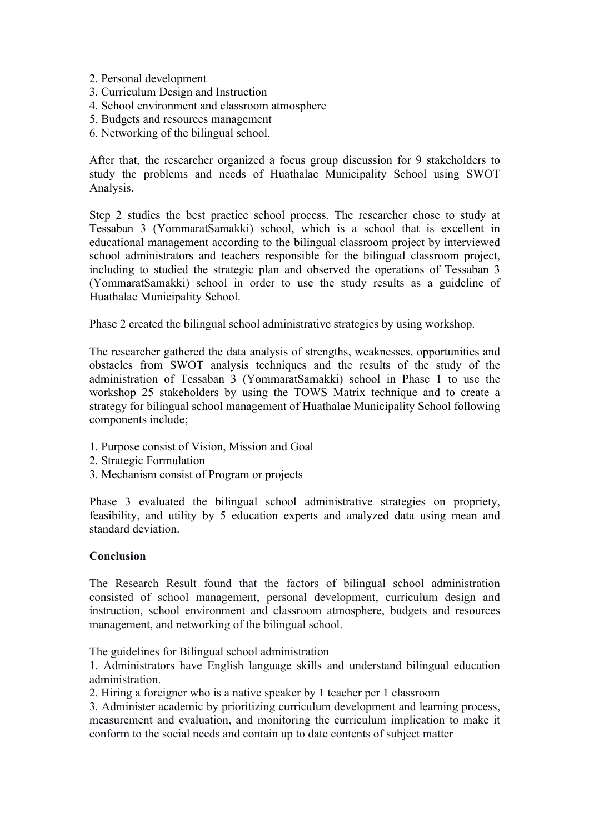- 2. Personal development
- 3. Curriculum Design and Instruction
- 4. School environment and classroom atmosphere
- 5. Budgets and resources management
- 6. Networking of the bilingual school.

After that, the researcher organized a focus group discussion for 9 stakeholders to study the problems and needs of Huathalae Municipality School using SWOT Analysis.

Step 2 studies the best practice school process. The researcher chose to study at Tessaban 3 (YommaratSamakki) school, which is a school that is excellent in educational management according to the bilingual classroom project by interviewed school administrators and teachers responsible for the bilingual classroom project, including to studied the strategic plan and observed the operations of Tessaban 3 (YommaratSamakki) school in order to use the study results as a guideline of Huathalae Municipality School.

Phase 2 created the bilingual school administrative strategies by using workshop.

The researcher gathered the data analysis of strengths, weaknesses, opportunities and obstacles from SWOT analysis techniques and the results of the study of the administration of Tessaban 3 (YommaratSamakki) school in Phase 1 to use the workshop 25 stakeholders by using the TOWS Matrix technique and to create a strategy for bilingual school management of Huathalae Municipality School following components include;

- 1. Purpose consist of Vision, Mission and Goal
- 2. Strategic Formulation
- 3. Mechanism consist of Program or projects

Phase 3 evaluated the bilingual school administrative strategies on propriety, feasibility, and utility by 5 education experts and analyzed data using mean and standard deviation.

### **Conclusion**

The Research Result found that the factors of bilingual school administration consisted of school management, personal development, curriculum design and instruction, school environment and classroom atmosphere, budgets and resources management, and networking of the bilingual school.

The guidelines for Bilingual school administration

1. Administrators have English language skills and understand bilingual education administration.

2. Hiring a foreigner who is a native speaker by 1 teacher per 1 classroom

3. Administer academic by prioritizing curriculum development and learning process, measurement and evaluation, and monitoring the curriculum implication to make it conform to the social needs and contain up to date contents of subject matter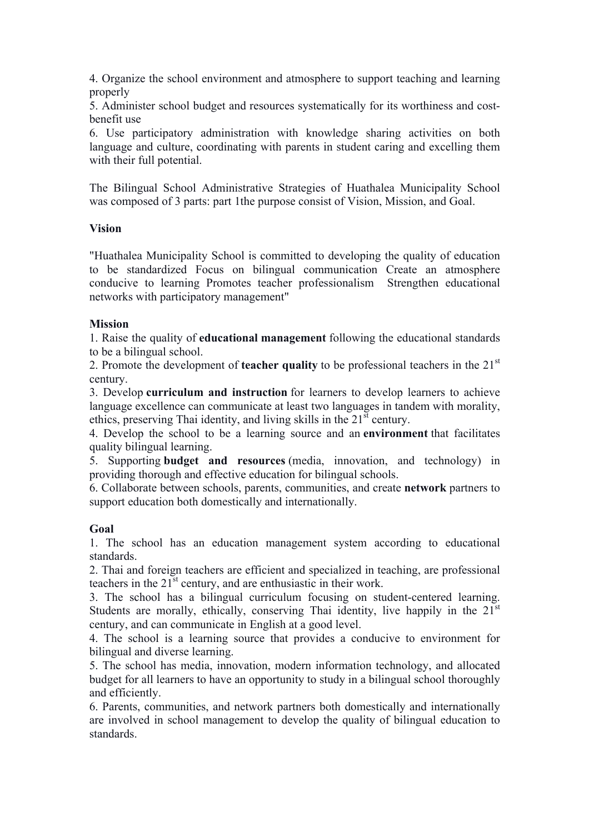4. Organize the school environment and atmosphere to support teaching and learning properly

5. Administer school budget and resources systematically for its worthiness and costbenefit use

6. Use participatory administration with knowledge sharing activities on both language and culture, coordinating with parents in student caring and excelling them with their full potential.

The Bilingual School Administrative Strategies of Huathalea Municipality School was composed of 3 parts: part 1the purpose consist of Vision, Mission, and Goal.

### **Vision**

"Huathalea Municipality School is committed to developing the quality of education to be standardized Focus on bilingual communication Create an atmosphere conducive to learning Promotes teacher professionalism Strengthen educational networks with participatory management"

## **Mission**

1. Raise the quality of **educational management** following the educational standards to be a bilingual school.

2. Promote the development of **teacher quality** to be professional teachers in the 21<sup>st</sup> century.

3. Develop **curriculum and instruction** for learners to develop learners to achieve language excellence can communicate at least two languages in tandem with morality, ethics, preserving Thai identity, and living skills in the  $21<sup>st</sup>$  century.

4. Develop the school to be a learning source and an **environment** that facilitates quality bilingual learning.

5. Supporting **budget and resources** (media, innovation, and technology) in providing thorough and effective education for bilingual schools.

6. Collaborate between schools, parents, communities, and create **network** partners to support education both domestically and internationally.

# **Goal**

1. The school has an education management system according to educational standards.

2. Thai and foreign teachers are efficient and specialized in teaching, are professional teachers in the 21<sup>st</sup> century, and are enthusiastic in their work.

3. The school has a bilingual curriculum focusing on student-centered learning. Students are morally, ethically, conserving Thai identity, live happily in the  $21<sup>st</sup>$ century, and can communicate in English at a good level.

4. The school is a learning source that provides a conducive to environment for bilingual and diverse learning.

5. The school has media, innovation, modern information technology, and allocated budget for all learners to have an opportunity to study in a bilingual school thoroughly and efficiently.

6. Parents, communities, and network partners both domestically and internationally are involved in school management to develop the quality of bilingual education to standards.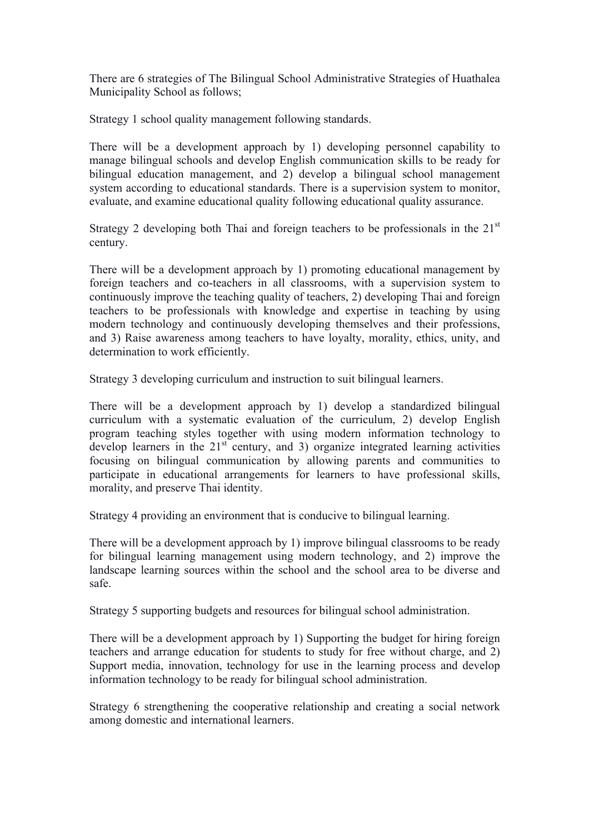There are 6 strategies of The Bilingual School Administrative Strategies of Huathalea Municipality School as follows;

Strategy 1 school quality management following standards.

There will be a development approach by 1) developing personnel capability to manage bilingual schools and develop English communication skills to be ready for bilingual education management, and 2) develop a bilingual school management system according to educational standards. There is a supervision system to monitor, evaluate, and examine educational quality following educational quality assurance.

Strategy 2 developing both Thai and foreign teachers to be professionals in the  $21<sup>st</sup>$ century.

There will be a development approach by 1) promoting educational management by foreign teachers and co-teachers in all classrooms, with a supervision system to continuously improve the teaching quality of teachers, 2) developing Thai and foreign teachers to be professionals with knowledge and expertise in teaching by using modern technology and continuously developing themselves and their professions, and 3) Raise awareness among teachers to have loyalty, morality, ethics, unity, and determination to work efficiently.

Strategy 3 developing curriculum and instruction to suit bilingual learners.

There will be a development approach by 1) develop a standardized bilingual curriculum with a systematic evaluation of the curriculum, 2) develop English program teaching styles together with using modern information technology to develop learners in the  $21<sup>st</sup>$  century, and 3) organize integrated learning activities focusing on bilingual communication by allowing parents and communities to participate in educational arrangements for learners to have professional skills, morality, and preserve Thai identity.

Strategy 4 providing an environment that is conducive to bilingual learning.

There will be a development approach by 1) improve bilingual classrooms to be ready for bilingual learning management using modern technology, and 2) improve the landscape learning sources within the school and the school area to be diverse and safe.

Strategy 5 supporting budgets and resources for bilingual school administration.

There will be a development approach by 1) Supporting the budget for hiring foreign teachers and arrange education for students to study for free without charge, and 2) Support media, innovation, technology for use in the learning process and develop information technology to be ready for bilingual school administration.

Strategy 6 strengthening the cooperative relationship and creating a social network among domestic and international learners.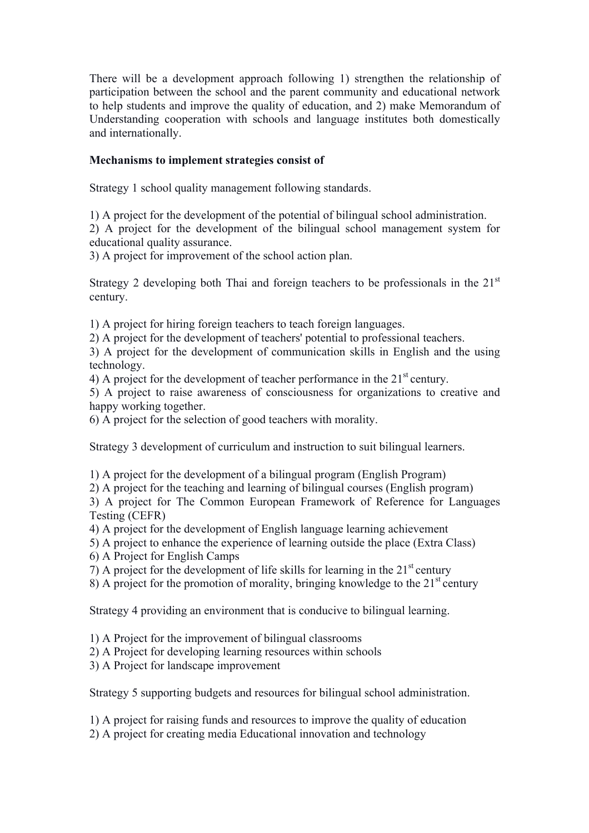There will be a development approach following 1) strengthen the relationship of participation between the school and the parent community and educational network to help students and improve the quality of education, and 2) make Memorandum of Understanding cooperation with schools and language institutes both domestically and internationally.

# **Mechanisms to implement strategies consist of**

Strategy 1 school quality management following standards.

1) A project for the development of the potential of bilingual school administration. 2) A project for the development of the bilingual school management system for educational quality assurance.

3) A project for improvement of the school action plan.

Strategy 2 developing both Thai and foreign teachers to be professionals in the  $21<sup>st</sup>$ century.

1) A project for hiring foreign teachers to teach foreign languages.

2) A project for the development of teachers' potential to professional teachers.

3) A project for the development of communication skills in English and the using technology.

4) A project for the development of teacher performance in the  $21<sup>st</sup>$  century.

5) A project to raise awareness of consciousness for organizations to creative and happy working together.

6) A project for the selection of good teachers with morality.

Strategy 3 development of curriculum and instruction to suit bilingual learners.

1) A project for the development of a bilingual program (English Program)

2) A project for the teaching and learning of bilingual courses (English program)

3) A project for The Common European Framework of Reference for Languages Testing (CEFR)

- 4) A project for the development of English language learning achievement
- 5) A project to enhance the experience of learning outside the place (Extra Class)
- 6) A Project for English Camps

7) A project for the development of life skills for learning in the  $21<sup>st</sup>$  century

8) A project for the promotion of morality, bringing knowledge to the  $21<sup>st</sup>$  century

Strategy 4 providing an environment that is conducive to bilingual learning.

- 1) A Project for the improvement of bilingual classrooms
- 2) A Project for developing learning resources within schools
- 3) A Project for landscape improvement

Strategy 5 supporting budgets and resources for bilingual school administration.

1) A project for raising funds and resources to improve the quality of education

2) A project for creating media Educational innovation and technology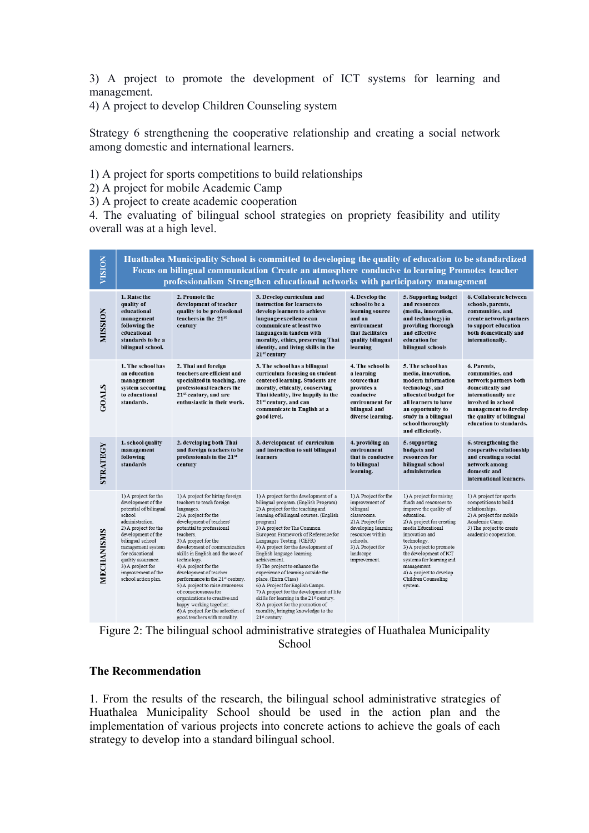3) A project to promote the development of ICT systems for learning and management.

4) A project to develop Children Counseling system

Strategy 6 strengthening the cooperative relationship and creating a social network among domestic and international learners.

1) A project for sports competitions to build relationships

2) A project for mobile Academic Camp

3) A project to create academic cooperation

4. The evaluating of bilingual school strategies on propriety feasibility and utility overall was at a high level.

| VISION          | Huathalea Municipality School is committed to developing the quality of education to be standardized<br>Focus on bilingual communication Create an atmosphere conducive to learning Promotes teacher<br>professionalism Strengthen educational networks with participatory management              |                                                                                                                                                                                                                                                                                                                                                                                                                                                                                                                                                                                   |                                                                                                                                                                                                                                                                                                                                                                                                                                                                                                                                                                                                                                                                                                                 |                                                                                                                                                                                                |                                                                                                                                                                                                                                                                                                                                            |                                                                                                                                                                                                           |
|-----------------|----------------------------------------------------------------------------------------------------------------------------------------------------------------------------------------------------------------------------------------------------------------------------------------------------|-----------------------------------------------------------------------------------------------------------------------------------------------------------------------------------------------------------------------------------------------------------------------------------------------------------------------------------------------------------------------------------------------------------------------------------------------------------------------------------------------------------------------------------------------------------------------------------|-----------------------------------------------------------------------------------------------------------------------------------------------------------------------------------------------------------------------------------------------------------------------------------------------------------------------------------------------------------------------------------------------------------------------------------------------------------------------------------------------------------------------------------------------------------------------------------------------------------------------------------------------------------------------------------------------------------------|------------------------------------------------------------------------------------------------------------------------------------------------------------------------------------------------|--------------------------------------------------------------------------------------------------------------------------------------------------------------------------------------------------------------------------------------------------------------------------------------------------------------------------------------------|-----------------------------------------------------------------------------------------------------------------------------------------------------------------------------------------------------------|
| <b>MOISSIDN</b> | 1. Raise the<br>quality of<br>educational<br>management<br>following the<br>educational<br>standards to be a<br>bilingual school.                                                                                                                                                                  | 2. Promote the<br>development of teacher<br>quality to be professional<br>teachers in the 21st<br>century                                                                                                                                                                                                                                                                                                                                                                                                                                                                         | 3. Develop curriculum and<br>instruction for learners to<br>develop learners to achieve<br>language excellence can<br>communicate at least two<br>languages in tandem with<br>morality, ethics, preserving Thai<br>identity, and living skills in the<br>21 <sup>st</sup> century                                                                                                                                                                                                                                                                                                                                                                                                                               | 4. Develop the<br>school to be a<br>learning source<br>and an<br>environment<br>that facilitates<br>quality bilingual<br>learning                                                              | 5. Supporting budget<br>and resources<br>(media, innovation,<br>and technology) in<br>providing thorough<br>and effective<br>education for<br>bilingual schools                                                                                                                                                                            | 6. Collaborate between<br>schools, parents,<br>communities, and<br>create network partners<br>to support education<br>both domestically and<br>internationally.                                           |
| <b>SOALS</b>    | 1. The school has<br>an education<br>management<br>system according<br>to educational<br>standards.                                                                                                                                                                                                | 2. Thai and foreign<br>teachers are efficient and<br>specialized in teaching, are<br>professional teachers the<br>21 <sup>st</sup> century, and are<br>enthusiastic in their work.                                                                                                                                                                                                                                                                                                                                                                                                | 3. The school has a bilingual<br>curriculum focusing on student-<br>centered learning. Students are<br>morally, ethically, conserving<br>Thai identity, live happily in the<br>21 <sup>st</sup> century, and can<br>communicate in English at a<br>good level.                                                                                                                                                                                                                                                                                                                                                                                                                                                  | 4. The school is<br>a learning<br>source that<br>provides a<br>conducive<br>environment for<br>bilingual and<br>diverse learning.                                                              | 5. The school has<br>media, innovation,<br>modern information<br>technology, and<br>allocated budget for<br>all learners to have<br>an opportunity to<br>study in a bilingual<br>school thoroughly<br>and efficiently.                                                                                                                     | 6. Parents,<br>communities, and<br>network partners both<br>domestically and<br>internationally are<br>involved in school<br>management to develop<br>the quality of bilingual<br>education to standards. |
| STRATEGY        | 1. school quality<br>management<br>following<br>standards                                                                                                                                                                                                                                          | 2. developing both Thai<br>and foreign teachers to be<br>professionals in the 21st<br>century                                                                                                                                                                                                                                                                                                                                                                                                                                                                                     | 3. development of curriculum<br>and instruction to suit bilingual<br>learners                                                                                                                                                                                                                                                                                                                                                                                                                                                                                                                                                                                                                                   | 4. providing an<br>environment<br>that is conducive<br>to bilingual<br>learning.                                                                                                               | 5. supporting<br>budgets and<br>resources for<br>bilingual school<br>administration                                                                                                                                                                                                                                                        | 6. strengthening the<br>cooperative relationship<br>and creating a social<br>network among<br>domestic and<br>international learners.                                                                     |
| MECHANISMS      | 1) A project for the<br>development of the<br>potential of bilingual<br>school<br>administration.<br>2) A project for the<br>development of the<br>bilingual school<br>management system<br>for educational<br>quality assurance.<br>3) A project for<br>improvement of the<br>school action plan. | 1) A project for hiring foreign<br>teachers to teach foreign<br>languages.<br>2) A project for the<br>development of teachers'<br>potential to professional<br>teachers.<br>3) A project for the<br>development of communication<br>skills in English and the use of<br>technology.<br>4) A project for the<br>development of teacher<br>performance in the 21 <sup>st</sup> century.<br>5) A project to raise awareness<br>of consciousness for<br>organizations to creative and<br>happy working together.<br>6) A project for the selection of<br>good teachers with morality. | 1) A project for the development of a<br>bilingual program. (English Program)<br>2) A project for the teaching and<br>learning of bilingual courses. (English<br>program)<br>3) A project for The Common<br>European Framework of Reference for<br>Languages Testing. (CEFR)<br>4) A project for the development of<br>English language learning<br>achievement.<br>5) The project to enhance the<br>experience of learning outside the<br>place. (Extra Class)<br>6) A Project for English Camps.<br>7) A project for the development of life<br>skills for learning in the 21 <sup>st</sup> century.<br>8) A project for the promotion of<br>morality, bringing knowledge to the<br>21 <sup>st</sup> century. | 1) A Project for the<br>improvement of<br>bilingual<br>classrooms.<br>2) A Project for<br>developing learning<br>resources within<br>schools.<br>3) A Project for<br>landscape<br>improvement. | 1) A project for raising<br>funds and resources to<br>improve the quality of<br>education.<br>2) A project for creating<br>media Educational<br>innovation and<br>technology.<br>3) A project to promote<br>the development of ICT<br>systems for learning and<br>management.<br>4) A project to develop<br>Children Counseling<br>system. | 1) A project for sports<br>competitions to build<br>relationships.<br>2) A project for mobile<br>Academic Camp.<br>3) The project to create<br>academic cooperation.                                      |

Figure 2: The bilingual school administrative strategies of Huathalea Municipality School

## **The Recommendation**

1. From the results of the research, the bilingual school administrative strategies of Huathalea Municipality School should be used in the action plan and the implementation of various projects into concrete actions to achieve the goals of each strategy to develop into a standard bilingual school.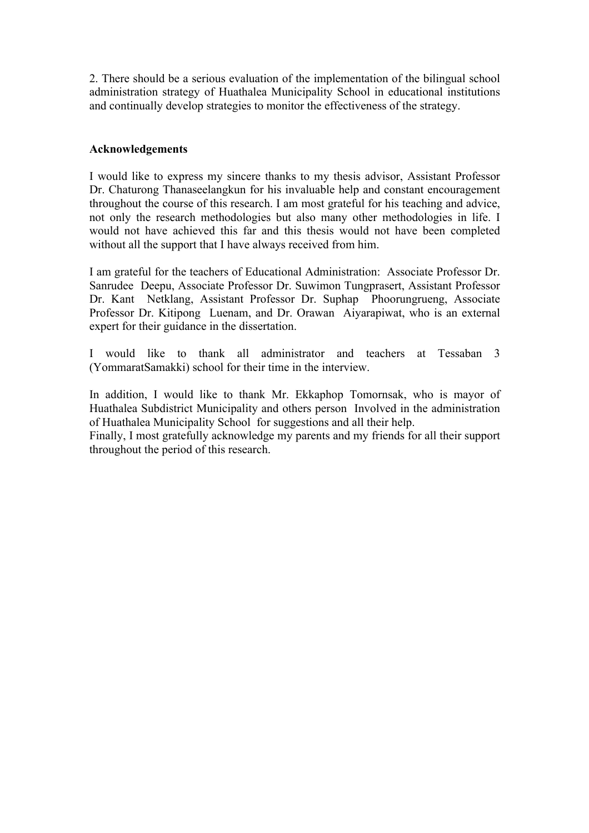2. There should be a serious evaluation of the implementation of the bilingual school administration strategy of Huathalea Municipality School in educational institutions and continually develop strategies to monitor the effectiveness of the strategy.

## **Acknowledgements**

I would like to express my sincere thanks to my thesis advisor, Assistant Professor Dr. Chaturong Thanaseelangkun for his invaluable help and constant encouragement throughout the course of this research. I am most grateful for his teaching and advice, not only the research methodologies but also many other methodologies in life. I would not have achieved this far and this thesis would not have been completed without all the support that I have always received from him.

I am grateful for the teachers of Educational Administration: Associate Professor Dr. Sanrudee Deepu, Associate Professor Dr. Suwimon Tungprasert, Assistant Professor Dr. Kant Netklang, Assistant Professor Dr. Suphap Phoorungrueng, Associate Professor Dr. Kitipong Luenam, and Dr. Orawan Aiyarapiwat, who is an external expert for their guidance in the dissertation.

I would like to thank all administrator and teachers at Tessaban 3 (YommaratSamakki) school for their time in the interview.

In addition, I would like to thank Mr. Ekkaphop Tomornsak, who is mayor of Huathalea Subdistrict Municipality and others person Involved in the administration of Huathalea Municipality School for suggestions and all their help.

Finally, I most gratefully acknowledge my parents and my friends for all their support throughout the period of this research.